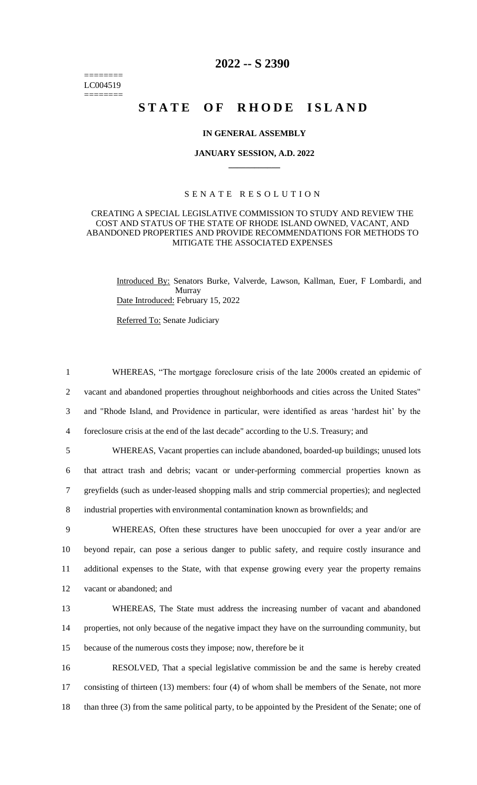======== LC004519 ========

## **2022 -- S 2390**

# **STATE OF RHODE ISLAND**

#### **IN GENERAL ASSEMBLY**

#### **JANUARY SESSION, A.D. 2022 \_\_\_\_\_\_\_\_\_\_\_\_**

#### S E N A T E R E S O L U T I O N

#### CREATING A SPECIAL LEGISLATIVE COMMISSION TO STUDY AND REVIEW THE COST AND STATUS OF THE STATE OF RHODE ISLAND OWNED, VACANT, AND ABANDONED PROPERTIES AND PROVIDE RECOMMENDATIONS FOR METHODS TO MITIGATE THE ASSOCIATED EXPENSES

Introduced By: Senators Burke, Valverde, Lawson, Kallman, Euer, F Lombardi, and Murray Date Introduced: February 15, 2022

Referred To: Senate Judiciary

 WHEREAS, "The mortgage foreclosure crisis of the late 2000s created an epidemic of vacant and abandoned properties throughout neighborhoods and cities across the United States" and "Rhode Island, and Providence in particular, were identified as areas 'hardest hit' by the foreclosure crisis at the end of the last decade" according to the U.S. Treasury; and

 WHEREAS, Vacant properties can include abandoned, boarded-up buildings; unused lots that attract trash and debris; vacant or under-performing commercial properties known as greyfields (such as under-leased shopping malls and strip commercial properties); and neglected industrial properties with environmental contamination known as brownfields; and

 WHEREAS, Often these structures have been unoccupied for over a year and/or are beyond repair, can pose a serious danger to public safety, and require costly insurance and additional expenses to the State, with that expense growing every year the property remains vacant or abandoned; and

13 WHEREAS, The State must address the increasing number of vacant and abandoned 14 properties, not only because of the negative impact they have on the surrounding community, but 15 because of the numerous costs they impose; now, therefore be it

16 RESOLVED, That a special legislative commission be and the same is hereby created 17 consisting of thirteen (13) members: four (4) of whom shall be members of the Senate, not more 18 than three (3) from the same political party, to be appointed by the President of the Senate; one of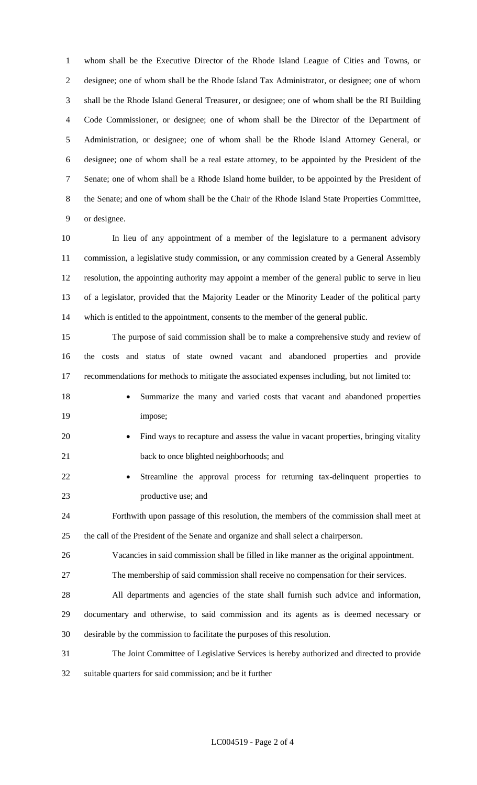whom shall be the Executive Director of the Rhode Island League of Cities and Towns, or designee; one of whom shall be the Rhode Island Tax Administrator, or designee; one of whom shall be the Rhode Island General Treasurer, or designee; one of whom shall be the RI Building Code Commissioner, or designee; one of whom shall be the Director of the Department of Administration, or designee; one of whom shall be the Rhode Island Attorney General, or designee; one of whom shall be a real estate attorney, to be appointed by the President of the Senate; one of whom shall be a Rhode Island home builder, to be appointed by the President of the Senate; and one of whom shall be the Chair of the Rhode Island State Properties Committee, or designee.

 In lieu of any appointment of a member of the legislature to a permanent advisory commission, a legislative study commission, or any commission created by a General Assembly resolution, the appointing authority may appoint a member of the general public to serve in lieu of a legislator, provided that the Majority Leader or the Minority Leader of the political party which is entitled to the appointment, consents to the member of the general public.

 The purpose of said commission shall be to make a comprehensive study and review of the costs and status of state owned vacant and abandoned properties and provide recommendations for methods to mitigate the associated expenses including, but not limited to:

- 
- 18 Summarize the many and varied costs that vacant and abandoned properties 19 impose;
- 20 Find ways to recapture and assess the value in vacant properties, bringing vitality 21 back to once blighted neighborhoods; and
- Streamline the approval process for returning tax-delinquent properties to productive use; and

 Forthwith upon passage of this resolution, the members of the commission shall meet at the call of the President of the Senate and organize and shall select a chairperson.

Vacancies in said commission shall be filled in like manner as the original appointment.

The membership of said commission shall receive no compensation for their services.

 All departments and agencies of the state shall furnish such advice and information, documentary and otherwise, to said commission and its agents as is deemed necessary or desirable by the commission to facilitate the purposes of this resolution.

The Joint Committee of Legislative Services is hereby authorized and directed to provide

suitable quarters for said commission; and be it further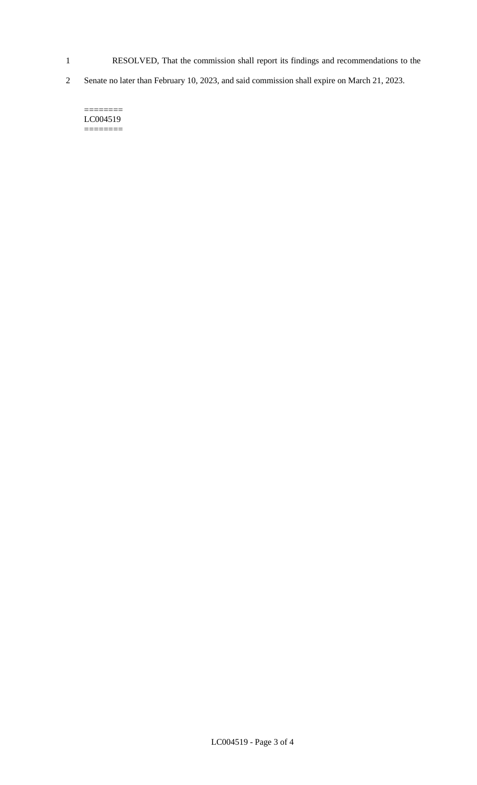- 1 RESOLVED, That the commission shall report its findings and recommendations to the
- 2 Senate no later than February 10, 2023, and said commission shall expire on March 21, 2023.

======== LC004519  $=$